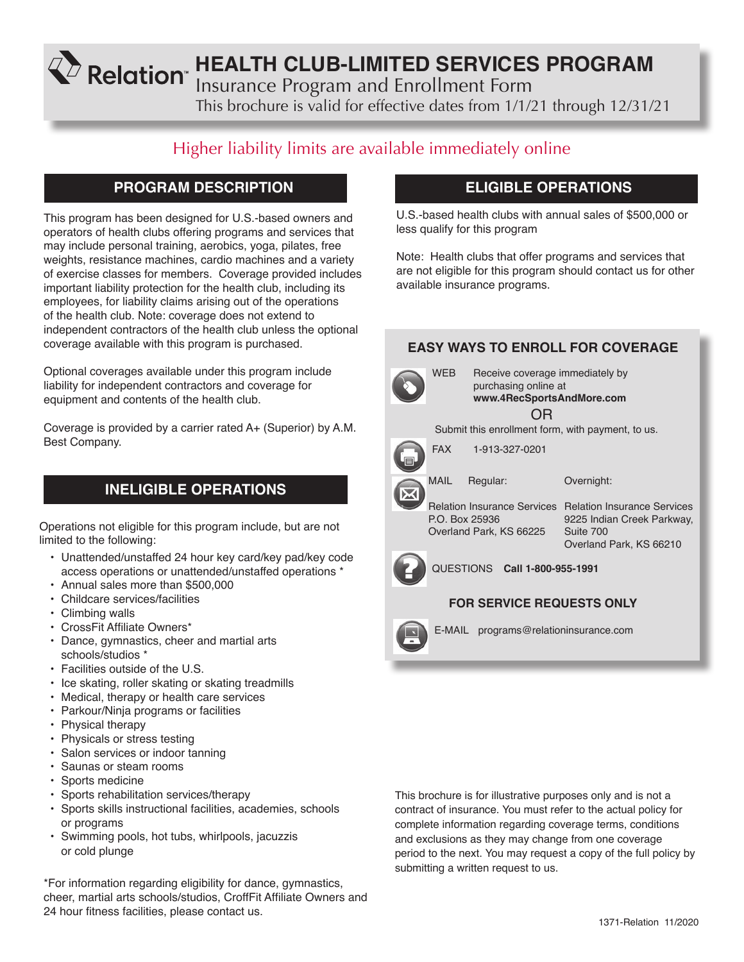**KD** Relation HEALTH CLUB-LIMITED SERVICES PROGRAM

Insurance Program and Enrollment Form

This brochure is valid for effective dates from 1/1/21 through 12/31/21

# Higher liability limits are available immediately online

## **PROGRAM DESCRIPTION**

This program has been designed for U.S.-based owners and operators of health clubs offering programs and services that may include personal training, aerobics, yoga, pilates, free weights, resistance machines, cardio machines and a variety of exercise classes for members. Coverage provided includes important liability protection for the health club, including its employees, for liability claims arising out of the operations of the health club. Note: coverage does not extend to independent contractors of the health club unless the optional coverage available with this program is purchased.

Optional coverages available under this program include liability for independent contractors and coverage for equipment and contents of the health club.

Coverage is provided by a carrier rated A+ (Superior) by A.M. Best Company.

## **INELIGIBLE OPERATIONS**

Operations not eligible for this program include, but are not limited to the following:

- Unattended/unstaffed 24 hour key card/key pad/key code access operations or unattended/unstaffed operations \*
- Annual sales more than \$500,000
- Childcare services/facilities
- Climbing walls
- CrossFit Affiliate Owners\*
- Dance, gymnastics, cheer and martial arts schools/studios \*
- Facilities outside of the U.S.
- Ice skating, roller skating or skating treadmills
- Medical, therapy or health care services
- Parkour/Ninja programs or facilities
- Physical therapy
- Physicals or stress testing
- Salon services or indoor tanning
- Saunas or steam rooms
- Sports medicine
- Sports rehabilitation services/therapy
- Sports skills instructional facilities, academies, schools or programs
- Swimming pools, hot tubs, whirlpools, jacuzzis or cold plunge

\*For information regarding eligibility for dance, gymnastics, cheer, martial arts schools/studios, CroffFit Affiliate Owners and 24 hour fitness facilities, please contact us.

## **ELIGIBLE OPERATIONS**

U.S.-based health clubs with annual sales of \$500,000 or less qualify for this program

Note: Health clubs that offer programs and services that are not eligible for this program should contact us for other available insurance programs.

|  | <b>EASY WAYS TO ENROLL FOR COVERAGE</b> |                                                                                            |                                                                                                          |  |  |  |  |
|--|-----------------------------------------|--------------------------------------------------------------------------------------------|----------------------------------------------------------------------------------------------------------|--|--|--|--|
|  | <b>WEB</b>                              | Receive coverage immediately by<br>purchasing online at<br>www.4RecSportsAndMore.com<br>OR |                                                                                                          |  |  |  |  |
|  |                                         |                                                                                            | Submit this enrollment form, with payment, to us.                                                        |  |  |  |  |
|  | <b>FAX</b>                              | 1-913-327-0201                                                                             |                                                                                                          |  |  |  |  |
|  | <b>MAIL</b>                             | Regular:                                                                                   | Overnight:                                                                                               |  |  |  |  |
|  | P.O. Box 25936                          | <b>Relation Insurance Services</b><br>Overland Park, KS 66225                              | <b>Relation Insurance Services</b><br>9225 Indian Creek Parkway,<br>Suite 700<br>Overland Park, KS 66210 |  |  |  |  |
|  | <b>QUESTIONS</b><br>Call 1-800-955-1991 |                                                                                            |                                                                                                          |  |  |  |  |
|  |                                         | <b>FOR SERVICE REQUESTS ONLY</b>                                                           |                                                                                                          |  |  |  |  |
|  |                                         | E-MAIL programs@relationinsurance.com                                                      |                                                                                                          |  |  |  |  |

This brochure is for illustrative purposes only and is not a contract of insurance. You must refer to the actual policy for complete information regarding coverage terms, conditions and exclusions as they may change from one coverage period to the next. You may request a copy of the full policy by submitting a written request to us.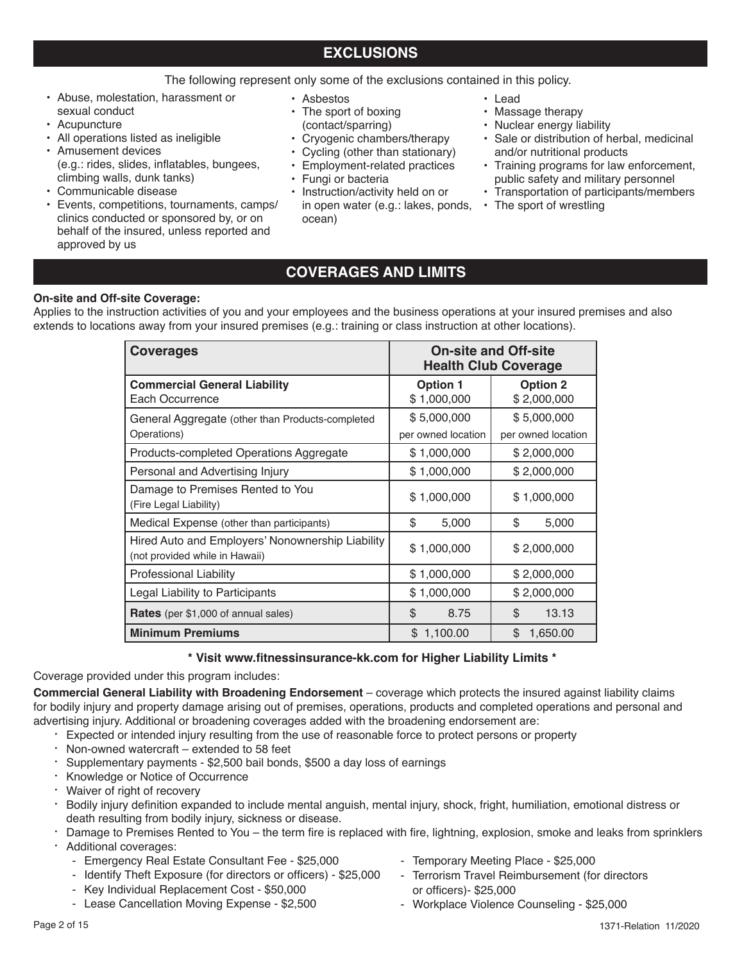## **EXCLUSIONS**

## The following represent only some of the exclusions contained in this policy.

- Abuse, molestation, harassment or sexual conduct
- Acupuncture
- All operations listed as ineligible
- Amusement devices (e.g.: rides, slides, inflatables, bungees, climbing walls, dunk tanks)
- Communicable disease
- Events, competitions, tournaments, camps/ clinics conducted or sponsored by, or on behalf of the insured, unless reported and approved by us
- Asbestos
- The sport of boxing
- (contact/sparring)
- Cryogenic chambers/therapy
- Cycling (other than stationary) • Employment-related practices
- 
- Fungi or bacteria
- Instruction/activity held on or in open water (e.g.: lakes, ponds, ocean)
- Lead
- Massage therapy
- Nuclear energy liability
- Sale or distribution of herbal, medicinal and/or nutritional products
- Training programs for law enforcement, public safety and military personnel
- Transportation of participants/members
- The sport of wrestling

## **COVERAGES AND LIMITS**

## **On-site and Off-site Coverage:**

Applies to the instruction activities of you and your employees and the business operations at your insured premises and also extends to locations away from your insured premises (e.g.: training or class instruction at other locations).

| <b>Coverages</b>                                                                   | <b>On-site and Off-site</b><br><b>Health Club Coverage</b>       |                                   |  |  |
|------------------------------------------------------------------------------------|------------------------------------------------------------------|-----------------------------------|--|--|
| <b>Commercial General Liability</b><br>Each Occurrence                             | <b>Option 1</b><br><b>Option 2</b><br>\$1,000,000<br>\$2,000,000 |                                   |  |  |
| General Aggregate (other than Products-completed<br>Operations)                    | \$5,000,000<br>per owned location                                | \$5,000,000<br>per owned location |  |  |
| Products-completed Operations Aggregate                                            | \$1,000,000                                                      | \$2,000,000                       |  |  |
| Personal and Advertising Injury                                                    | \$1,000,000                                                      | \$2,000,000                       |  |  |
| Damage to Premises Rented to You<br>(Fire Legal Liability)                         | \$1,000,000                                                      | \$1,000,000                       |  |  |
| Medical Expense (other than participants)                                          | \$<br>5,000                                                      | \$<br>5,000                       |  |  |
| Hired Auto and Employers' Nonownership Liability<br>(not provided while in Hawaii) | \$1,000,000                                                      | \$2,000,000                       |  |  |
| <b>Professional Liability</b>                                                      | \$2,000,000<br>\$1,000,000                                       |                                   |  |  |
| Legal Liability to Participants                                                    | \$1,000,000                                                      | \$2,000,000                       |  |  |
| <b>Rates</b> (per \$1,000 of annual sales)                                         | \$<br>\$<br>13.13<br>8.75                                        |                                   |  |  |
| <b>Minimum Premiums</b>                                                            | \$1,100.00                                                       | \$<br>1,650.00                    |  |  |

## **\* Visit www.fitnessinsurance-kk.com for Higher Liability Limits \***

Coverage provided under this program includes:

**Commercial General Liability with Broadening Endorsement** – coverage which protects the insured against liability claims for bodily injury and property damage arising out of premises, operations, products and completed operations and personal and advertising injury. Additional or broadening coverages added with the broadening endorsement are:

- · Expected or intended injury resulting from the use of reasonable force to protect persons or property
- · Non-owned watercraft extended to 58 feet
- Supplementary payments \$2,500 bail bonds, \$500 a day loss of earnings
- · Knowledge or Notice of Occurrence
- · Waiver of right of recovery
- · Bodily injury definition expanded to include mental anguish, mental injury, shock, fright, humiliation, emotional distress or death resulting from bodily injury, sickness or disease.
- Damage to Premises Rented to You the term fire is replaced with fire, lightning, explosion, smoke and leaks from sprinklers
- Additional coverages:
	- Emergency Real Estate Consultant Fee \$25,000
	- Identify Theft Exposure (for directors or officers) \$25,000
	- Key Individual Replacement Cost \$50,000
	- Lease Cancellation Moving Expense \$2,500
- Temporary Meeting Place \$25,000
- Terrorism Travel Reimbursement (for directors or officers)- \$25,000
- Workplace Violence Counseling \$25,000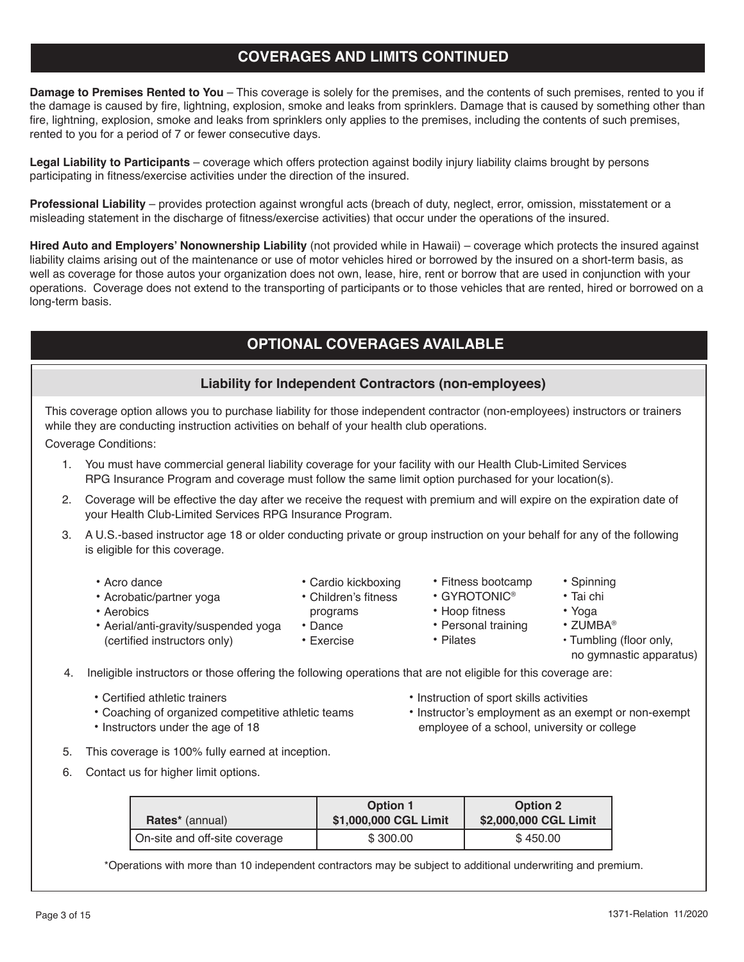## **COVERAGES AND LIMITS CONTINUED**

**Damage to Premises Rented to You** – This coverage is solely for the premises, and the contents of such premises, rented to you if the damage is caused by fire, lightning, explosion, smoke and leaks from sprinklers. Damage that is caused by something other than fire, lightning, explosion, smoke and leaks from sprinklers only applies to the premises, including the contents of such premises, rented to you for a period of 7 or fewer consecutive days.

**Legal Liability to Participants** – coverage which offers protection against bodily injury liability claims brought by persons participating in fitness/exercise activities under the direction of the insured.

**Professional Liability** – provides protection against wrongful acts (breach of duty, neglect, error, omission, misstatement or a misleading statement in the discharge of fitness/exercise activities) that occur under the operations of the insured.

**Hired Auto and Employers' Nonownership Liability** (not provided while in Hawaii) – coverage which protects the insured against liability claims arising out of the maintenance or use of motor vehicles hired or borrowed by the insured on a short-term basis, as well as coverage for those autos your organization does not own, lease, hire, rent or borrow that are used in conjunction with your operations. Coverage does not extend to the transporting of participants or to those vehicles that are rented, hired or borrowed on a long-term basis.

## **OPTIONAL COVERAGES AVAILABLE**

## **Liability for Independent Contractors (non-employees)**

This coverage option allows you to purchase liability for those independent contractor (non-employees) instructors or trainers while they are conducting instruction activities on behalf of your health club operations.

Coverage Conditions:

1. You must have commercial general liability coverage for your facility with our Health Club-Limited Services RPG Insurance Program and coverage must follow the same limit option purchased for your location(s).

> • Cardio kickboxing • Children's fitness programs

- 2. Coverage will be effective the day after we receive the request with premium and will expire on the expiration date of your Health Club-Limited Services RPG Insurance Program.
- 3. A U.S.-based instructor age 18 or older conducting private or group instruction on your behalf for any of the following is eligible for this coverage.
	- Acro dance
	- Acrobatic/partner yoga

(certified instructors only)

- Aerobics
- Aerial/anti-gravity/suspended yoga
	- Exercise
- Fitness bootcamp
- GYROTONIC®
- Hoop fitness
- Personal training
- Pilates
- ZUMBA®

• Spinning • Tai chi • Yoga

- 
- Tumbling (floor only, no gymnastic apparatus)

4. Ineligible instructors or those offering the following operations that are not eligible for this coverage are:

• Dance

- Certified athletic trainers
- Coaching of organized competitive athletic teams
- Instructors under the age of 18
- Instruction of sport skills activities
- Instructor's employment as an exempt or non-exempt employee of a school, university or college
- 5. This coverage is 100% fully earned at inception.
- 6. Contact us for higher limit options.

| <b>Rates</b> * (annual)       | <b>Option 1</b><br>\$1,000,000 CGL Limit | <b>Option 2</b><br>\$2,000,000 CGL Limit |
|-------------------------------|------------------------------------------|------------------------------------------|
| On-site and off-site coverage | \$300.00                                 | \$450.00                                 |

\*Operations with more than 10 independent contractors may be subject to additional underwriting and premium.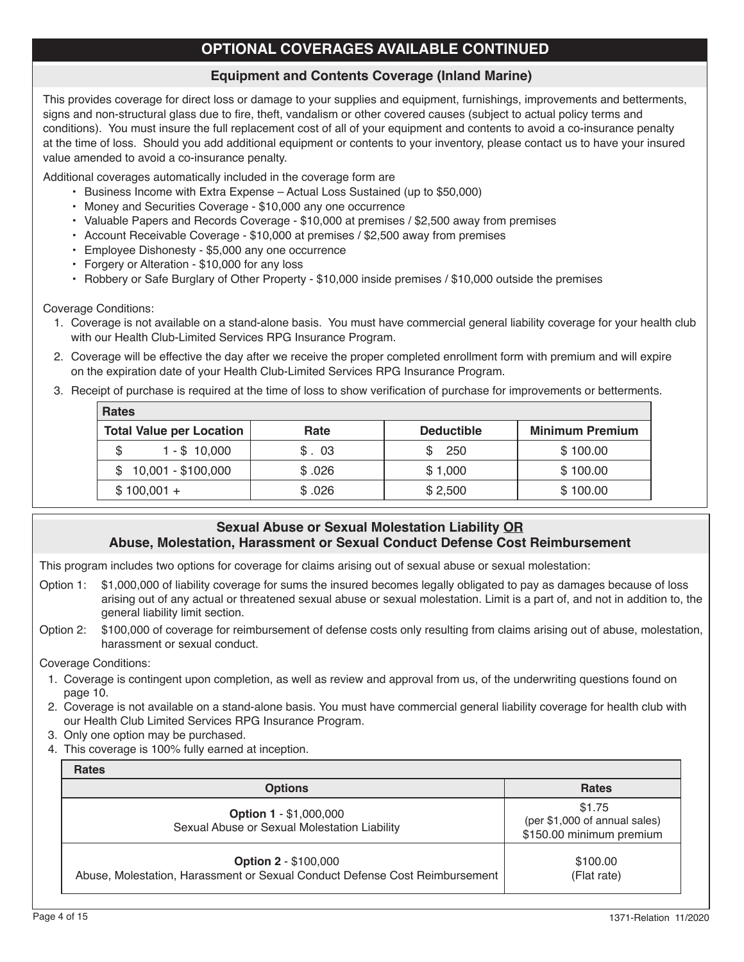## **OPTIONAL COVERAGES AVAILABLE CONTINUED**

## **Equipment and Contents Coverage (Inland Marine)**

This provides coverage for direct loss or damage to your supplies and equipment, furnishings, improvements and betterments, signs and non-structural glass due to fire, theft, vandalism or other covered causes (subject to actual policy terms and conditions). You must insure the full replacement cost of all of your equipment and contents to avoid a co-insurance penalty at the time of loss. Should you add additional equipment or contents to your inventory, please contact us to have your insured value amended to avoid a co-insurance penalty.

Additional coverages automatically included in the coverage form are

- Business Income with Extra Expense Actual Loss Sustained (up to \$50,000)
- Money and Securities Coverage \$10,000 any one occurrence
- Valuable Papers and Records Coverage \$10,000 at premises / \$2,500 away from premises
- Account Receivable Coverage \$10,000 at premises / \$2,500 away from premises
- Employee Dishonesty \$5,000 any one occurrence
- Forgery or Alteration \$10,000 for any loss
- Robbery or Safe Burglary of Other Property \$10,000 inside premises / \$10,000 outside the premises

Coverage Conditions:

- 1. Coverage is not available on a stand-alone basis. You must have commercial general liability coverage for your health club with our Health Club-Limited Services RPG Insurance Program.
- 2. Coverage will be effective the day after we receive the proper completed enrollment form with premium and will expire on the expiration date of your Health Club-Limited Services RPG Insurance Program.
- 3. Receipt of purchase is required at the time of loss to show verification of purchase for improvements or betterments.

| <b>Rates</b>                    |        |                   |                        |  |  |  |  |  |
|---------------------------------|--------|-------------------|------------------------|--|--|--|--|--|
| <b>Total Value per Location</b> | Rate   | <b>Deductible</b> | <b>Minimum Premium</b> |  |  |  |  |  |
| $1 - $10,000$<br>\$             | \$.03  | 250               | \$100.00               |  |  |  |  |  |
| $$10,001 - $100,000$            | \$.026 | \$1,000           | \$100.00               |  |  |  |  |  |
| $$100,001 +$                    | \$.026 | \$2,500           | \$100.00               |  |  |  |  |  |
|                                 |        |                   |                        |  |  |  |  |  |

## **Sexual Abuse or Sexual Molestation Liability OR Abuse, Molestation, Harassment or Sexual Conduct Defense Cost Reimbursement**

This program includes two options for coverage for claims arising out of sexual abuse or sexual molestation:

- Option 1: \$1,000,000 of liability coverage for sums the insured becomes legally obligated to pay as damages because of loss arising out of any actual or threatened sexual abuse or sexual molestation. Limit is a part of, and not in addition to, the general liability limit section.
- Option 2: \$100,000 of coverage for reimbursement of defense costs only resulting from claims arising out of abuse, molestation, harassment or sexual conduct.

Coverage Conditions:

- 1. Coverage is contingent upon completion, as well as review and approval from us, of the underwriting questions found on page 10.
- 2. Coverage is not available on a stand-alone basis. You must have commercial general liability coverage for health club with our Health Club Limited Services RPG Insurance Program.
- 3. Only one option may be purchased.
- 4. This coverage is 100% fully earned at inception.

| <b>Rates</b>                                                                                               |                                                                     |
|------------------------------------------------------------------------------------------------------------|---------------------------------------------------------------------|
| <b>Options</b>                                                                                             | <b>Rates</b>                                                        |
| <b>Option 1 - \$1,000,000</b><br>Sexual Abuse or Sexual Molestation Liability                              | \$1.75<br>(per \$1,000 of annual sales)<br>\$150.00 minimum premium |
| <b>Option 2 - \$100,000</b><br>Abuse, Molestation, Harassment or Sexual Conduct Defense Cost Reimbursement | \$100.00<br>(Flat rate)                                             |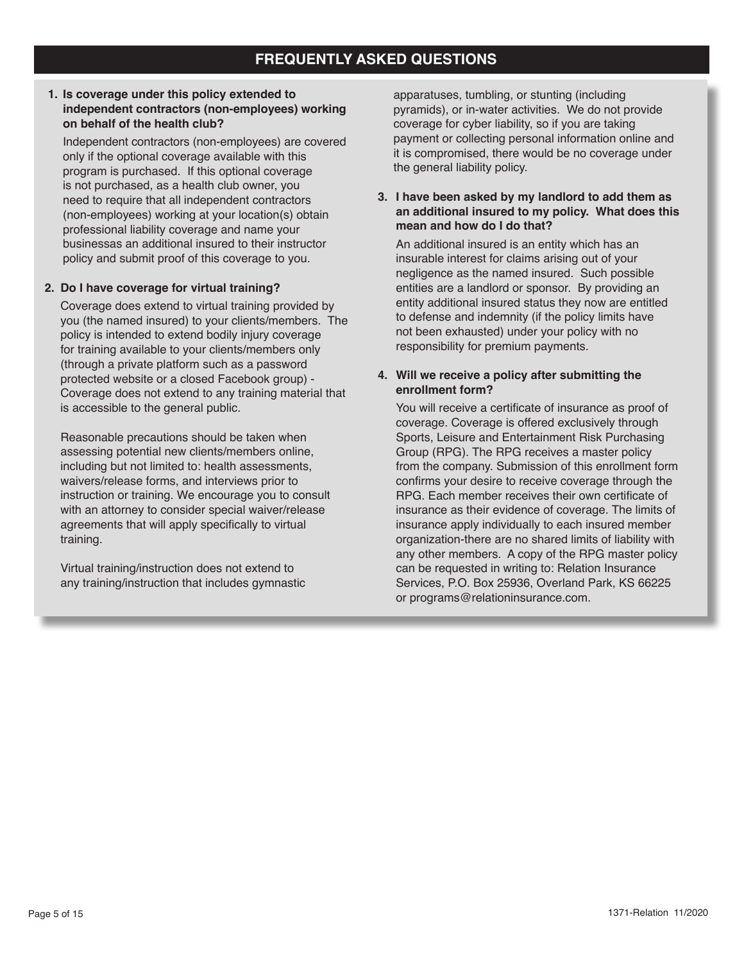## **1. Is coverage under this policy extended to independent contractors (non-employees) working on behalf of the health club?**

Independent contractors (non-employees) are covered only if the optional coverage available with this program is purchased. If this optional coverage is not purchased, as a health club owner, you need to require that all independent contractors (non-employees) working at your location(s) obtain professional liability coverage and name your businessas an additional insured to their instructor policy and submit proof of this coverage to you.

## **2. Do I have coverage for virtual training?**

Coverage does extend to virtual training provided by you (the named insured) to your clients/members. The policy is intended to extend bodily injury coverage for training available to your clients/members only (through a private platform such as a password protected website or a closed Facebook group) - Coverage does not extend to any training material that is accessible to the general public.

Reasonable precautions should be taken when assessing potential new clients/members online, including but not limited to: health assessments, waivers/release forms, and interviews prior to instruction or training. We encourage you to consult with an attorney to consider special waiver/release agreements that will apply specifically to virtual training.

Virtual training/instruction does not extend to any training/instruction that includes gymnastic apparatuses, tumbling, or stunting (including pyramids), or in-water activities. We do not provide coverage for cyber liability, so if you are taking payment or collecting personal information online and it is compromised, there would be no coverage under the general liability policy.

## **3. I have been asked by my landlord to add them as an additional insured to my policy. What does this mean and how do I do that?**

An additional insured is an entity which has an insurable interest for claims arising out of your negligence as the named insured. Such possible entities are a landlord or sponsor. By providing an entity additional insured status they now are entitled to defense and indemnity (if the policy limits have not been exhausted) under your policy with no responsibility for premium payments.

## **4. Will we receive a policy after submitting the enrollment form?**

You will receive a certificate of insurance as proof of coverage. Coverage is offered exclusively through Sports, Leisure and Entertainment Risk Purchasing Group (RPG). The RPG receives a master policy from the company. Submission of this enrollment form confirms your desire to receive coverage through the RPG. Each member receives their own certificate of insurance as their evidence of coverage. The limits of insurance apply individually to each insured member organization-there are no shared limits of liability with any other members. A copy of the RPG master policy can be requested in writing to: Relation Insurance Services, P.O. Box 25936, Overland Park, KS 66225 or programs@relationinsurance.com.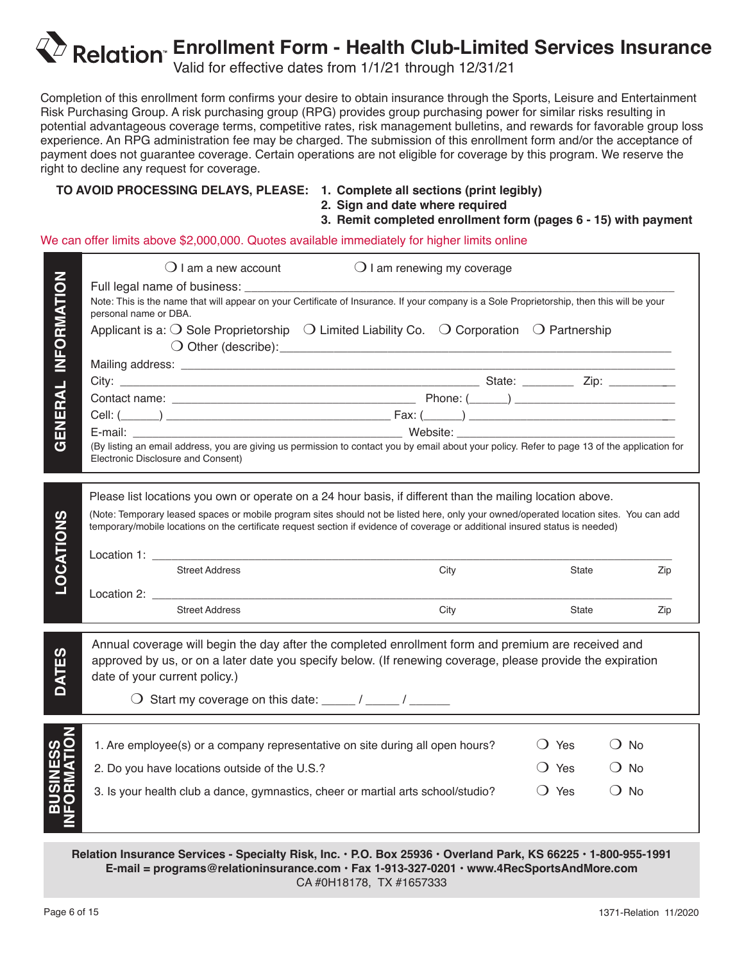# **Enrollment Form - Health Club-Limited Services Insurance**

Valid for effective dates from 1/1/21 through 12/31/21

Completion of this enrollment form confirms your desire to obtain insurance through the Sports, Leisure and Entertainment Risk Purchasing Group. A risk purchasing group (RPG) provides group purchasing power for similar risks resulting in potential advantageous coverage terms, competitive rates, risk management bulletins, and rewards for favorable group loss experience. An RPG administration fee may be charged. The submission of this enrollment form and/or the acceptance of payment does not guarantee coverage. Certain operations are not eligible for coverage by this program. We reserve the right to decline any request for coverage.

## **TO AVOID PROCESSING DELAYS, PLEASE: 1. Complete all sections (print legibly)**

 **2. Sign and date where required**

## **3. Remit completed enrollment form (pages 6 - 15) with payment**

We can offer limits above \$2,000,000. Quotes available immediately for higher limits online

| INFORMATION          | $\bigcirc$ I am a new account<br>$\bigcirc$ I am renewing my coverage<br>Note: This is the name that will appear on your Certificate of Insurance. If your company is a Sole Proprietorship, then this will be your<br>personal name or DBA.<br>Applicant is a: $\bigcirc$ Sole Proprietorship $\bigcirc$ Limited Liability Co. $\bigcirc$ Corporation $\bigcirc$ Partnership                                                                           |                                    |                                     |
|----------------------|---------------------------------------------------------------------------------------------------------------------------------------------------------------------------------------------------------------------------------------------------------------------------------------------------------------------------------------------------------------------------------------------------------------------------------------------------------|------------------------------------|-------------------------------------|
| GENERAL              | (By listing an email address, you are giving us permission to contact you by email about your policy. Refer to page 13 of the application for<br>Electronic Disclosure and Consent)                                                                                                                                                                                                                                                                     |                                    |                                     |
| ഗ<br><b>LOCATION</b> | Please list locations you own or operate on a 24 hour basis, if different than the mailing location above.<br>(Note: Temporary leased spaces or mobile program sites should not be listed here, only your owned/operated location sites. You can add<br>temporary/mobile locations on the certificate request section if evidence of coverage or additional insured status is needed)<br><b>Street Address</b><br>City<br><b>Street Address</b><br>City | State<br>State                     | Zip<br>Zip                          |
| <b>DATES</b>         | Annual coverage will begin the day after the completed enrollment form and premium are received and<br>approved by us, or on a later date you specify below. (If renewing coverage, please provide the expiration<br>date of your current policy.)<br>$\bigcirc$ Start my coverage on this date: _____ / _____ / ______                                                                                                                                 |                                    |                                     |
|                      | 1. Are employee(s) or a company representative on site during all open hours?<br>2. Do you have locations outside of the U.S.?<br>3. Is your health club a dance, gymnastics, cheer or martial arts school/studio?                                                                                                                                                                                                                                      | () Yes<br>() Yes<br>$\bigcirc$ Yes | $()$ No<br>$()$ No<br>$\bigcirc$ No |

**Relation Insurance Services - Specialty Risk, Inc. • P.O. Box 25936 • Overland Park, KS 66225 • 1-800-955-1991 E-mail = programs@relationinsurance.com • Fax 1-913-327-0201 • www.4RecSportsAndMore.com** CA #0H18178, TX #1657333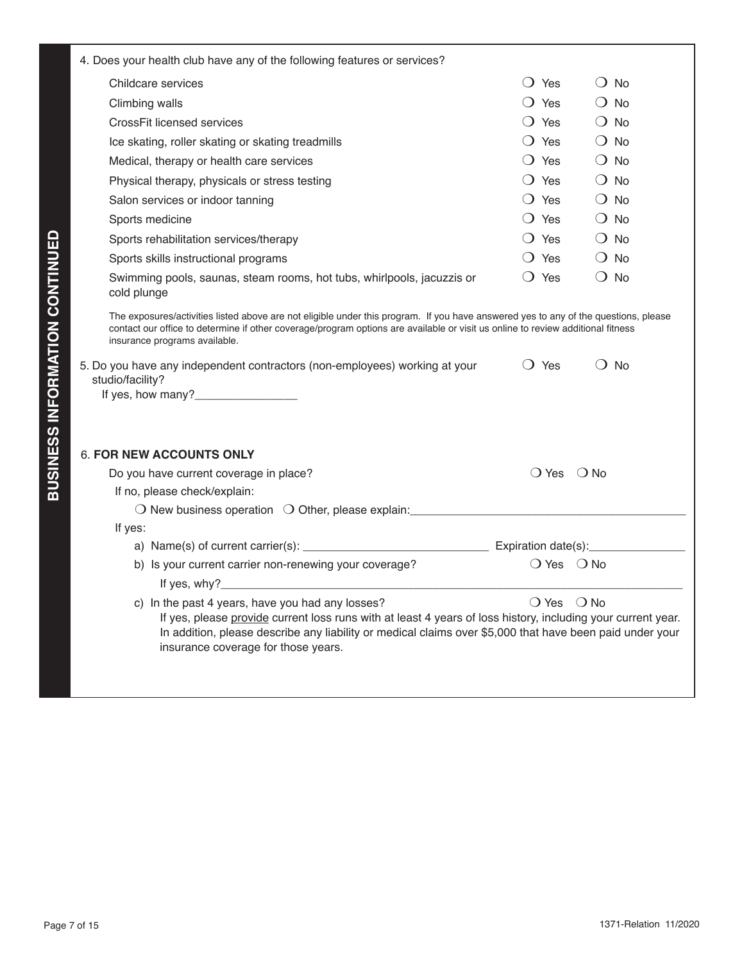| 4. Does your health club have any of the following features or services?                                                                                                                                                                                                                                            |                              |               |  |
|---------------------------------------------------------------------------------------------------------------------------------------------------------------------------------------------------------------------------------------------------------------------------------------------------------------------|------------------------------|---------------|--|
| Childcare services                                                                                                                                                                                                                                                                                                  | $\bigcirc$ Yes               | $()$ No       |  |
| Climbing walls                                                                                                                                                                                                                                                                                                      | $\bigcirc$ Yes               | $\bigcirc$ No |  |
| CrossFit licensed services                                                                                                                                                                                                                                                                                          | $\bigcirc$ Yes               | $\bigcirc$ No |  |
| Ice skating, roller skating or skating treadmills                                                                                                                                                                                                                                                                   | $\bigcirc$ Yes               | $\bigcirc$ No |  |
| Medical, therapy or health care services                                                                                                                                                                                                                                                                            | $\bigcirc$ Yes               | $\bigcirc$ No |  |
| Physical therapy, physicals or stress testing                                                                                                                                                                                                                                                                       | $\bigcirc$ Yes               | $\bigcirc$ No |  |
| Salon services or indoor tanning                                                                                                                                                                                                                                                                                    | $\bigcirc$ Yes               | $\bigcirc$ No |  |
| Sports medicine                                                                                                                                                                                                                                                                                                     | $\bigcirc$ Yes               | $\bigcirc$ No |  |
| Sports rehabilitation services/therapy                                                                                                                                                                                                                                                                              | () Yes                       | $\bigcirc$ No |  |
| Sports skills instructional programs                                                                                                                                                                                                                                                                                | () Yes                       | $\bigcirc$ No |  |
| Swimming pools, saunas, steam rooms, hot tubs, whirlpools, jacuzzis or<br>cold plunge                                                                                                                                                                                                                               | () Yes                       | $()$ No       |  |
| The exposures/activities listed above are not eligible under this program. If you have answered yes to any of the questions, please<br>contact our office to determine if other coverage/program options are available or visit us online to review additional fitness<br>insurance programs available.             |                              |               |  |
| 5. Do you have any independent contractors (non-employees) working at your<br>studio/facility?<br>If yes, how many?______________                                                                                                                                                                                   | $\bigcirc$ Yes               | $\bigcirc$ No |  |
| <b>6. FOR NEW ACCOUNTS ONLY</b>                                                                                                                                                                                                                                                                                     |                              |               |  |
| Do you have current coverage in place?                                                                                                                                                                                                                                                                              | $\bigcirc$ Yes $\bigcirc$ No |               |  |
| If no, please check/explain:                                                                                                                                                                                                                                                                                        |                              |               |  |
| O New business operation O Other, please explain: ______________________________                                                                                                                                                                                                                                    |                              |               |  |
| If yes:                                                                                                                                                                                                                                                                                                             |                              |               |  |
|                                                                                                                                                                                                                                                                                                                     |                              |               |  |
| b) Is your current carrier non-renewing your coverage?                                                                                                                                                                                                                                                              | $\bigcirc$ Yes $\bigcirc$ No |               |  |
| If yes, $why?$                                                                                                                                                                                                                                                                                                      |                              |               |  |
| c) In the past 4 years, have you had any losses?<br>If yes, please provide current loss runs with at least 4 years of loss history, including your current year.<br>In addition, please describe any liability or medical claims over \$5,000 that have been paid under your<br>insurance coverage for those years. | $\bigcirc$ Yes $\bigcirc$ No |               |  |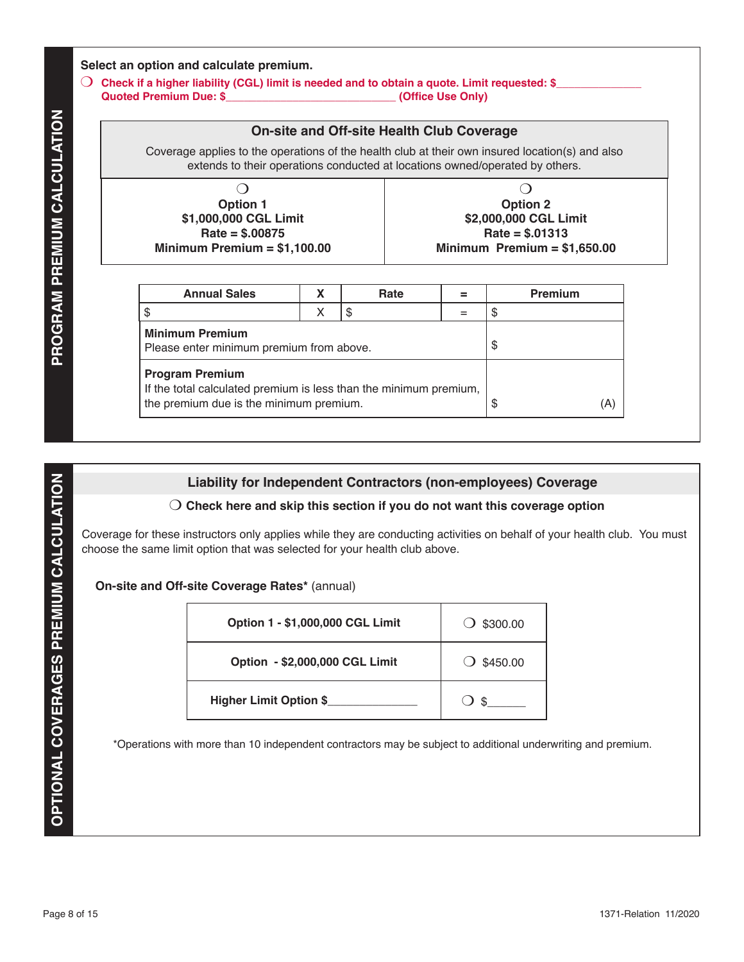## **Select an option and calculate premium.**

m **Check if a higher liability (CGL) limit is needed and to obtain a quote. Limit requested: \$\_\_\_\_\_\_\_\_\_\_\_\_\_\_ Quoted Premium Due: \$\_\_\_\_\_\_\_\_\_\_\_\_\_\_\_\_\_\_\_\_\_\_\_\_\_\_\_\_ (Office Use Only)**

## **On-site and Off-site Health Club Coverage**

| <b>PROGRAM PREMIUM CALCULATION</b> | extends to their operations conducted at locations owned/operated by others.<br>O<br><b>Option 1</b><br>\$1,000,000 CGL Limit<br>$Rate = $.00875$<br>Minimum Premium = $$1,100.00$ |                                                                                                                                                                                                                                                                                                                                                |   | 0<br><b>Option 2</b><br>\$2,000,000 CGL Limit<br>$Rate = $.01313$<br>Minimum Premium = $$1,650.00$ |     |                     |         |     |  |
|------------------------------------|------------------------------------------------------------------------------------------------------------------------------------------------------------------------------------|------------------------------------------------------------------------------------------------------------------------------------------------------------------------------------------------------------------------------------------------------------------------------------------------------------------------------------------------|---|----------------------------------------------------------------------------------------------------|-----|---------------------|---------|-----|--|
|                                    |                                                                                                                                                                                    | <b>Annual Sales</b>                                                                                                                                                                                                                                                                                                                            | X | Rate                                                                                               | $=$ |                     | Premium |     |  |
|                                    | \$                                                                                                                                                                                 |                                                                                                                                                                                                                                                                                                                                                | X | $$\mathbb{S}$$                                                                                     | $=$ | \$                  |         |     |  |
|                                    |                                                                                                                                                                                    | <b>Minimum Premium</b><br>Please enter minimum premium from above.                                                                                                                                                                                                                                                                             |   |                                                                                                    |     | \$                  |         |     |  |
|                                    |                                                                                                                                                                                    | <b>Program Premium</b><br>If the total calculated premium is less than the minimum premium,<br>the premium due is the minimum premium.                                                                                                                                                                                                         |   |                                                                                                    |     | \$                  |         | (A) |  |
|                                    |                                                                                                                                                                                    |                                                                                                                                                                                                                                                                                                                                                |   |                                                                                                    |     |                     |         |     |  |
|                                    |                                                                                                                                                                                    | Liability for Independent Contractors (non-employees) Coverage                                                                                                                                                                                                                                                                                 |   |                                                                                                    |     |                     |         |     |  |
|                                    |                                                                                                                                                                                    | $\bigcirc$ Check here and skip this section if you do not want this coverage option<br>Coverage for these instructors only applies while they are conducting activities on behalf of your health club. You must<br>choose the same limit option that was selected for your health club above.<br>On-site and Off-site Coverage Rates* (annual) |   |                                                                                                    |     |                     |         |     |  |
|                                    |                                                                                                                                                                                    | Option 1 - \$1,000,000 CGL Limit                                                                                                                                                                                                                                                                                                               |   |                                                                                                    |     | $\bigcirc$ \$300.00 |         |     |  |
| <b>PREMIUM CALCULATION</b>         |                                                                                                                                                                                    | Option - \$2,000,000 CGL Limit                                                                                                                                                                                                                                                                                                                 |   |                                                                                                    |     | $\bigcirc$ \$450.00 |         |     |  |
| <b>OPTIONAL COVERAGES</b>          |                                                                                                                                                                                    | <b>Higher Limit Option \$</b>                                                                                                                                                                                                                                                                                                                  |   |                                                                                                    |     |                     |         |     |  |

## **Liability for Independent Contractors (non-employees) Coverage**

## m **Check here and skip this section if you do not want this coverage option**

## **On-site and Off-site Coverage Rates\*** (annual)

| Option 1 - \$1,000,000 CGL Limit | \$300.00            |
|----------------------------------|---------------------|
| Option - \$2,000,000 CGL Limit   | $\bigcirc$ \$450.00 |
| <b>Higher Limit Option \$</b>    | \$.                 |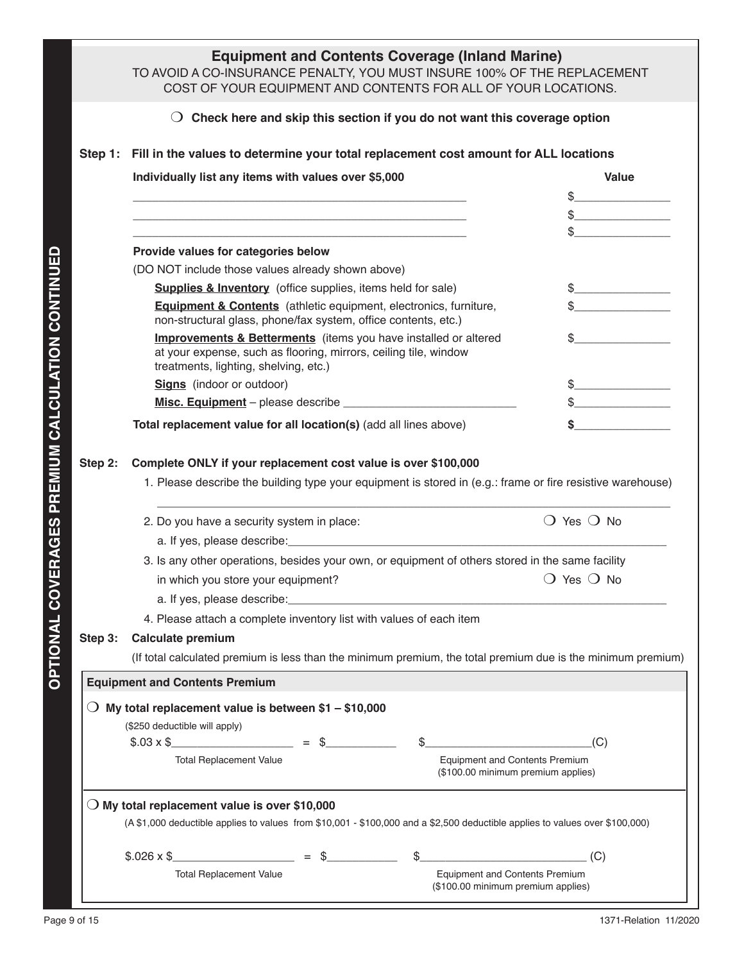|         | <b>Equipment and Contents Coverage (Inland Marine)</b><br>TO AVOID A CO-INSURANCE PENALTY, YOU MUST INSURE 100% OF THE REPLACEMENT<br>COST OF YOUR EQUIPMENT AND CONTENTS FOR ALL OF YOUR LOCATIONS. |                                                                             |                                                                                                                                                                                                                                                                                                                                                     |  |  |  |  |
|---------|------------------------------------------------------------------------------------------------------------------------------------------------------------------------------------------------------|-----------------------------------------------------------------------------|-----------------------------------------------------------------------------------------------------------------------------------------------------------------------------------------------------------------------------------------------------------------------------------------------------------------------------------------------------|--|--|--|--|
|         | $\bigcirc$ Check here and skip this section if you do not want this coverage option                                                                                                                  |                                                                             |                                                                                                                                                                                                                                                                                                                                                     |  |  |  |  |
|         | Step 1: Fill in the values to determine your total replacement cost amount for ALL locations                                                                                                         |                                                                             |                                                                                                                                                                                                                                                                                                                                                     |  |  |  |  |
|         | Individually list any items with values over \$5,000                                                                                                                                                 |                                                                             | Value                                                                                                                                                                                                                                                                                                                                               |  |  |  |  |
|         |                                                                                                                                                                                                      |                                                                             | $\begin{picture}(20,10) \put(0,0){\line(1,0){10}} \put(15,0){\line(1,0){10}} \put(15,0){\line(1,0){10}} \put(15,0){\line(1,0){10}} \put(15,0){\line(1,0){10}} \put(15,0){\line(1,0){10}} \put(15,0){\line(1,0){10}} \put(15,0){\line(1,0){10}} \put(15,0){\line(1,0){10}} \put(15,0){\line(1,0){10}} \put(15,0){\line(1,0){10}} \put(15,0){\line(1$ |  |  |  |  |
|         |                                                                                                                                                                                                      |                                                                             | $\frac{1}{2}$                                                                                                                                                                                                                                                                                                                                       |  |  |  |  |
|         |                                                                                                                                                                                                      |                                                                             | \$                                                                                                                                                                                                                                                                                                                                                  |  |  |  |  |
|         | Provide values for categories below                                                                                                                                                                  |                                                                             |                                                                                                                                                                                                                                                                                                                                                     |  |  |  |  |
|         | (DO NOT include those values already shown above)                                                                                                                                                    |                                                                             |                                                                                                                                                                                                                                                                                                                                                     |  |  |  |  |
|         | <b>Supplies &amp; Inventory</b> (office supplies, items held for sale)                                                                                                                               |                                                                             | $\frac{1}{2}$                                                                                                                                                                                                                                                                                                                                       |  |  |  |  |
|         | <b>Equipment &amp; Contents</b> (athletic equipment, electronics, furniture,<br>non-structural glass, phone/fax system, office contents, etc.)                                                       |                                                                             |                                                                                                                                                                                                                                                                                                                                                     |  |  |  |  |
|         | <b>Improvements &amp; Betterments</b> (items you have installed or altered<br>at your expense, such as flooring, mirrors, ceiling tile, window<br>treatments, lighting, shelving, etc.)              |                                                                             |                                                                                                                                                                                                                                                                                                                                                     |  |  |  |  |
|         | <b>Signs</b> (indoor or outdoor)                                                                                                                                                                     |                                                                             | $\sim$                                                                                                                                                                                                                                                                                                                                              |  |  |  |  |
|         |                                                                                                                                                                                                      |                                                                             | $\frac{1}{2}$                                                                                                                                                                                                                                                                                                                                       |  |  |  |  |
|         | Total replacement value for all location(s) (add all lines above)                                                                                                                                    |                                                                             | $\sim$                                                                                                                                                                                                                                                                                                                                              |  |  |  |  |
|         | 2. Do you have a security system in place:                                                                                                                                                           |                                                                             | $\bigcirc$ Yes $\bigcirc$ No                                                                                                                                                                                                                                                                                                                        |  |  |  |  |
|         |                                                                                                                                                                                                      |                                                                             |                                                                                                                                                                                                                                                                                                                                                     |  |  |  |  |
|         | 3. Is any other operations, besides your own, or equipment of others stored in the same facility                                                                                                     |                                                                             |                                                                                                                                                                                                                                                                                                                                                     |  |  |  |  |
|         | in which you store your equipment?                                                                                                                                                                   |                                                                             | $\bigcirc$ Yes $\bigcirc$ No                                                                                                                                                                                                                                                                                                                        |  |  |  |  |
|         |                                                                                                                                                                                                      |                                                                             |                                                                                                                                                                                                                                                                                                                                                     |  |  |  |  |
|         | 4. Please attach a complete inventory list with values of each item                                                                                                                                  |                                                                             |                                                                                                                                                                                                                                                                                                                                                     |  |  |  |  |
| Step 3: | <b>Calculate premium</b>                                                                                                                                                                             |                                                                             |                                                                                                                                                                                                                                                                                                                                                     |  |  |  |  |
|         | (If total calculated premium is less than the minimum premium, the total premium due is the minimum premium)                                                                                         |                                                                             |                                                                                                                                                                                                                                                                                                                                                     |  |  |  |  |
|         | <b>Equipment and Contents Premium</b>                                                                                                                                                                |                                                                             |                                                                                                                                                                                                                                                                                                                                                     |  |  |  |  |
|         | My total replacement value is between $$1 - $10,000$                                                                                                                                                 |                                                                             |                                                                                                                                                                                                                                                                                                                                                     |  |  |  |  |
|         | (\$250 deductible will apply)<br>$$.03 \times $$                                                                                                                                                     |                                                                             |                                                                                                                                                                                                                                                                                                                                                     |  |  |  |  |
|         | $=$ \$<br><b>Total Replacement Value</b>                                                                                                                                                             | <b>Equipment and Contents Premium</b>                                       | (C)                                                                                                                                                                                                                                                                                                                                                 |  |  |  |  |
|         |                                                                                                                                                                                                      | (\$100.00 minimum premium applies)                                          |                                                                                                                                                                                                                                                                                                                                                     |  |  |  |  |
|         | $\bigcirc$ My total replacement value is over \$10,000                                                                                                                                               |                                                                             |                                                                                                                                                                                                                                                                                                                                                     |  |  |  |  |
|         | (A \$1,000 deductible applies to values from \$10,001 - \$100,000 and a \$2,500 deductible applies to values over \$100,000)                                                                         |                                                                             |                                                                                                                                                                                                                                                                                                                                                     |  |  |  |  |
|         | $$.026 \times $$<br>$=$ \$                                                                                                                                                                           |                                                                             | (C)                                                                                                                                                                                                                                                                                                                                                 |  |  |  |  |
|         |                                                                                                                                                                                                      |                                                                             |                                                                                                                                                                                                                                                                                                                                                     |  |  |  |  |
|         | <b>Total Replacement Value</b>                                                                                                                                                                       | <b>Equipment and Contents Premium</b><br>(\$100.00 minimum premium applies) |                                                                                                                                                                                                                                                                                                                                                     |  |  |  |  |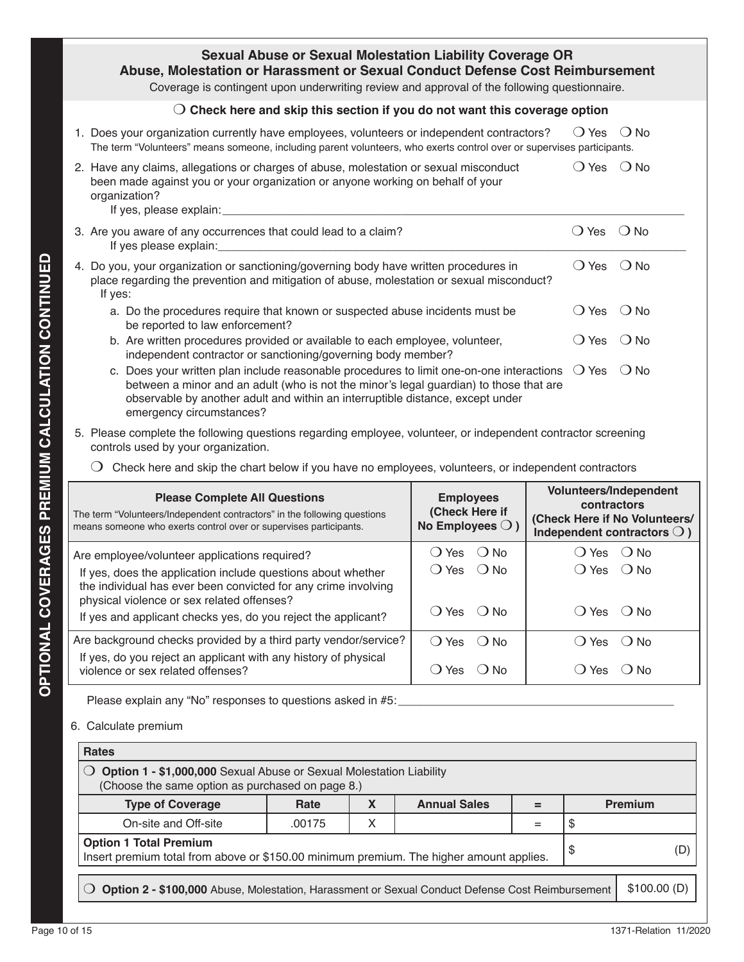| <b>Sexual Abuse or Sexual Molestation Liability Coverage OR</b><br>Abuse, Molestation or Harassment or Sexual Conduct Defense Cost Reimbursement<br>Coverage is contingent upon underwriting review and approval of the following questionnaire.                                                 |                |                        |  |  |  |  |
|--------------------------------------------------------------------------------------------------------------------------------------------------------------------------------------------------------------------------------------------------------------------------------------------------|----------------|------------------------|--|--|--|--|
| $\bigcirc$ Check here and skip this section if you do not want this coverage option                                                                                                                                                                                                              |                |                        |  |  |  |  |
| 1. Does your organization currently have employees, volunteers or independent contractors?<br>The term "Volunteers" means someone, including parent volunteers, who exerts control over or supervises participants.                                                                              | $\bigcirc$ Yes | $\bigcirc$ No          |  |  |  |  |
| 2. Have any claims, allegations or charges of abuse, molestation or sexual misconduct<br>been made against you or your organization or anyone working on behalf of your<br>organization?<br>If yes, please explain: _____                                                                        | $\bigcirc$ Yes | $()$ No                |  |  |  |  |
| 3. Are you aware of any occurrences that could lead to a claim?<br>If yes please explain:                                                                                                                                                                                                        | $\bigcirc$ Yes | $\bigcirc$ No          |  |  |  |  |
| 4. Do you, your organization or sanctioning/governing body have written procedures in<br>place regarding the prevention and mitigation of abuse, molestation or sexual misconduct?<br>If yes:                                                                                                    | $\bigcirc$ Yes | $\bigcirc$ No          |  |  |  |  |
| a. Do the procedures require that known or suspected abuse incidents must be<br>be reported to law enforcement?                                                                                                                                                                                  | $\bigcirc$ Yes | $\bigcirc$ No          |  |  |  |  |
| b. Are written procedures provided or available to each employee, volunteer,<br>independent contractor or sanctioning/governing body member?                                                                                                                                                     | $\bigcirc$ Yes | $\bigcirc$ No          |  |  |  |  |
| c. Does your written plan include reasonable procedures to limit one-on-one interactions<br>between a minor and an adult (who is not the minor's legal guardian) to those that are<br>observable by another adult and within an interruptible distance, except under<br>emergency circumstances? | $\bigcirc$ Yes | $\bigcirc$ No          |  |  |  |  |
| 5. Please complete the following questions regarding employee, volunteer, or independent contractor screening<br>controls used by your organization.                                                                                                                                             |                |                        |  |  |  |  |
| $\left( \right)$<br>Check here and skip the chart below if you have no employees, volunteers, or independent contractors                                                                                                                                                                         |                |                        |  |  |  |  |
|                                                                                                                                                                                                                                                                                                  |                | Valuntoora/Indonondont |  |  |  |  |

| <b>Please Complete All Questions</b><br>The term "Volunteers/Independent contractors" in the following questions<br>means someone who exerts control over or supervises participants. | <b>Employees</b><br>(Check Here if<br>No Employees $\bigcirc$ ) | <b>Volunteers/Independent</b><br>contractors<br>(Check Here if No Volunteers/<br>Independent contractors $\bigcirc$ ) |  |
|---------------------------------------------------------------------------------------------------------------------------------------------------------------------------------------|-----------------------------------------------------------------|-----------------------------------------------------------------------------------------------------------------------|--|
| Are employee/volunteer applications required?                                                                                                                                         | $\bigcirc$ Yes<br>() No                                         | ( ) Yes<br>∴ O No                                                                                                     |  |
| If yes, does the application include questions about whether<br>the individual has ever been convicted for any crime involving<br>physical violence or sex related offenses?          | $O$ Yes $O$ No                                                  | $O Yes$ $O No$                                                                                                        |  |
| If yes and applicant checks yes, do you reject the applicant?                                                                                                                         | $O$ Yes $O$ No                                                  | () Yes () No                                                                                                          |  |
| Are background checks provided by a third party vendor/service?                                                                                                                       | $OYes$ $ONO$                                                    | ( ) Yes<br>() No                                                                                                      |  |
| If yes, do you reject an applicant with any history of physical<br>violence or sex related offenses?                                                                                  | $\bigcirc$ Yes<br>( ) No                                        | () No<br>( ) Yes                                                                                                      |  |

Please explain any "No" responses to questions asked in #5:

## 6. Calculate premium

| <b>Rates</b>                                                                                                                  |        |           |                     |             |     |                |
|-------------------------------------------------------------------------------------------------------------------------------|--------|-----------|---------------------|-------------|-----|----------------|
| Option 1 - \$1,000,000 Sexual Abuse or Sexual Molestation Liability<br>(Choose the same option as purchased on page 8.)       |        |           |                     |             |     |                |
| <b>Type of Coverage</b>                                                                                                       | Rate   | $\lambda$ | <b>Annual Sales</b> | =           |     | <b>Premium</b> |
| On-site and Off-site                                                                                                          | .00175 | Х         |                     |             | S   |                |
| <b>Option 1 Total Premium</b><br>S<br>Insert premium total from above or \$150.00 minimum premium. The higher amount applies. |        |           |                     |             | (D) |                |
| Option 2 - \$100,000 Abuse, Molestation, Harassment or Sexual Conduct Defense Cost Reimbursement                              |        |           |                     | \$100.00(D) |     |                |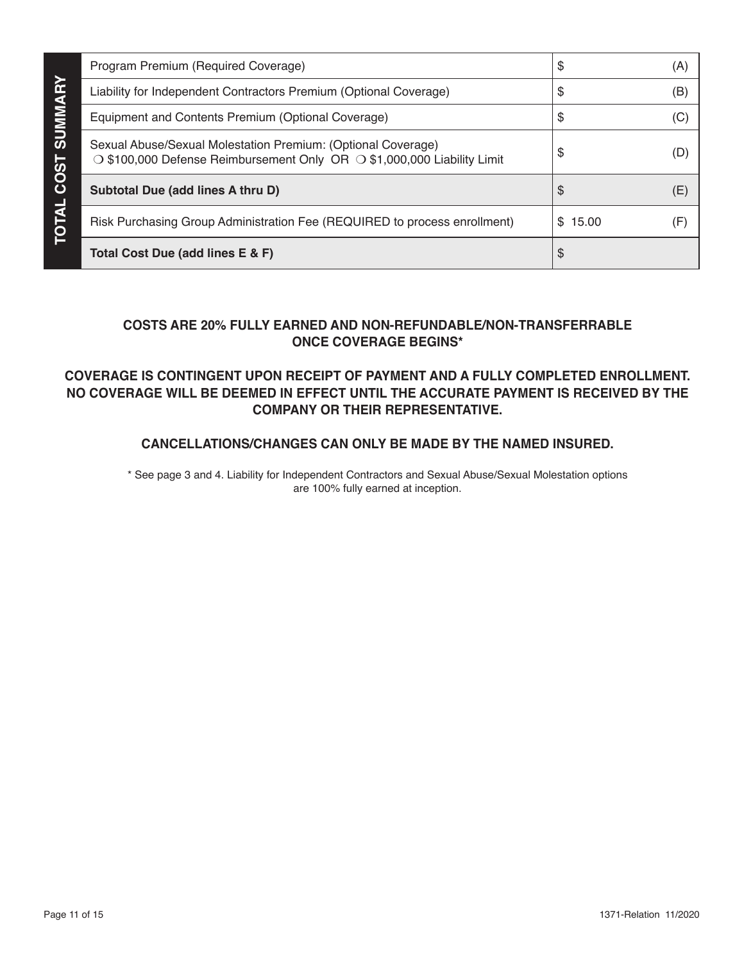|                | Program Premium (Required Coverage)                                                                                                     | S           | (A) |
|----------------|-----------------------------------------------------------------------------------------------------------------------------------------|-------------|-----|
|                | Liability for Independent Contractors Premium (Optional Coverage)                                                                       | S           | (B) |
| <b>SUMMARY</b> | Equipment and Contents Premium (Optional Coverage)                                                                                      | \$          | (C) |
| <b>COST</b>    | Sexual Abuse/Sexual Molestation Premium: (Optional Coverage)<br>○ \$100,000 Defense Reimbursement Only OR ○ \$1,000,000 Liability Limit | S           |     |
|                | Subtotal Due (add lines A thru D)                                                                                                       | S           | (E) |
| ◁<br>Ó         | Risk Purchasing Group Administration Fee (REQUIRED to process enrollment)                                                               | 15.00<br>\$ | (F  |
|                | Total Cost Due (add lines E & F)                                                                                                        | \$          |     |

## **COSTS ARE 20% FULLY EARNED AND NON-REFUNDABLE/NON-TRANSFERRABLE ONCE COVERAGE BEGINS\***

## **COVERAGE IS CONTINGENT UPON RECEIPT OF PAYMENT AND A FULLY COMPLETED ENROLLMENT. NO COVERAGE WILL BE DEEMED IN EFFECT UNTIL THE ACCURATE PAYMENT IS RECEIVED BY THE COMPANY OR THEIR REPRESENTATIVE.**

## **CANCELLATIONS/CHANGES CAN ONLY BE MADE BY THE NAMED INSURED.**

\* See page 3 and 4. Liability for Independent Contractors and Sexual Abuse/Sexual Molestation options are 100% fully earned at inception.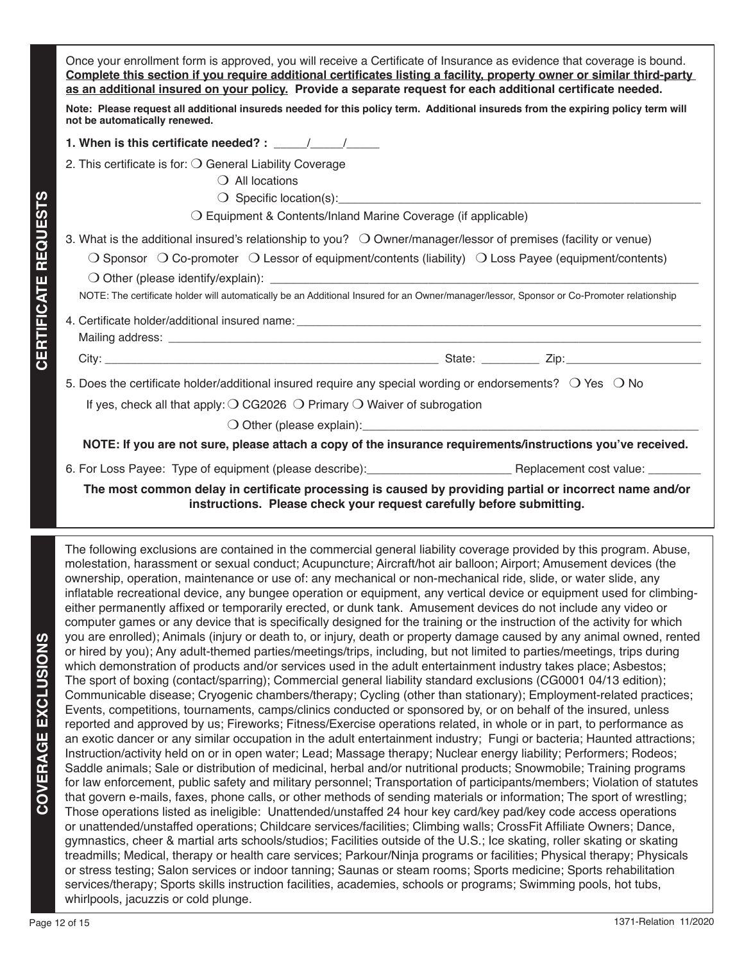Once your enrollment form is approved, you will receive a Certificate of Insurance as evidence that coverage is bound. **Complete this section if you require additional certificates listing a facility, property owner or similar third-party as an additional insured on your policy. Provide a separate request for each additional certificate needed.** 

**Note: Please request all additional insureds needed for this policy term. Additional insureds from the expiring policy term will not be automatically renewed.** 

**1. When is this certificate needed? :**  $\frac{1}{2}$ 

- 2. This certificate is for:  $\bigcirc$  General Liability Coverage
	- $\bigcirc$  All locations
	- $\bigcirc$  Specific location(s):

 $\bigcirc$  Equipment & Contents/Inland Marine Coverage (if applicable)

3. What is the additional insured's relationship to you?  $\bigcirc$  Owner/manager/lessor of premises (facility or venue)

 $\bigcirc$  Sponsor  $\bigcirc$  Co-promoter  $\bigcirc$  Lessor of equipment/contents (liability)  $\bigcirc$  Loss Payee (equipment/contents)

 $\bigcirc$  Other (please identify/explain):

**CERTIFICATE REQUESTS**

**CERTIFICATE REQUESTS** 

NOTE: The certificate holder will automatically be an Additional Insured for an Owner/manager/lessor, Sponsor or Co-Promoter relationship

4. Certificate holder/additional insured name: Mailing address: **We are all that the set of the set of the set of the set of the set of the set of the set of the set of the set of the set of the set of the set of the set of the set of the set of the set of the set of t** 

City: \_\_\_\_\_\_\_\_\_\_\_\_\_\_\_\_\_\_\_\_\_\_\_\_\_\_\_\_\_\_\_\_\_\_\_\_\_\_\_\_\_\_\_\_\_\_\_\_\_\_\_\_ State: \_\_\_\_\_\_\_\_\_ Zip:\_\_\_\_\_\_\_\_\_\_\_\_\_\_\_\_\_\_\_\_\_

5. Does the certificate holder/additional insured require any special wording or endorsements?  $\circ$  Yes  $\circ$  No If yes, check all that apply:  $\bigcirc$  CG2026  $\bigcirc$  Primary  $\bigcirc$  Waiver of subrogation

 $\bigcirc$  Other (please explain):

**NOTE: If you are not sure, please attach a copy of the insurance requirements/instructions you've received.**

6. For Loss Payee: Type of equipment (please describe): example and the Replacement cost value:

**The most common delay in certificate processing is caused by providing partial or incorrect name and/or instructions. Please check your request carefully before submitting.**

The following exclusions are contained in the commercial general liability coverage provided by this program. Abuse, molestation, harassment or sexual conduct; Acupuncture; Aircraft/hot air balloon; Airport; Amusement devices (the ownership, operation, maintenance or use of: any mechanical or non-mechanical ride, slide, or water slide, any inflatable recreational device, any bungee operation or equipment, any vertical device or equipment used for climbingeither permanently affixed or temporarily erected, or dunk tank. Amusement devices do not include any video or computer games or any device that is specifically designed for the training or the instruction of the activity for which you are enrolled); Animals (injury or death to, or injury, death or property damage caused by any animal owned, rented or hired by you); Any adult-themed parties/meetings/trips, including, but not limited to parties/meetings, trips during which demonstration of products and/or services used in the adult entertainment industry takes place; Asbestos; The sport of boxing (contact/sparring); Commercial general liability standard exclusions (CG0001 04/13 edition); Communicable disease; Cryogenic chambers/therapy; Cycling (other than stationary); Employment-related practices; Events, competitions, tournaments, camps/clinics conducted or sponsored by, or on behalf of the insured, unless reported and approved by us; Fireworks; Fitness/Exercise operations related, in whole or in part, to performance as an exotic dancer or any similar occupation in the adult entertainment industry; Fungi or bacteria; Haunted attractions; Instruction/activity held on or in open water; Lead; Massage therapy; Nuclear energy liability; Performers; Rodeos; Saddle animals; Sale or distribution of medicinal, herbal and/or nutritional products; Snowmobile; Training programs for law enforcement, public safety and military personnel; Transportation of participants/members; Violation of statutes that govern e-mails, faxes, phone calls, or other methods of sending materials or information; The sport of wrestling; Those operations listed as ineligible: Unattended/unstaffed 24 hour key card/key pad/key code access operations or unattended/unstaffed operations; Childcare services/facilities; Climbing walls; CrossFit Affiliate Owners; Dance, gymnastics, cheer & martial arts schools/studios; Facilities outside of the U.S.; Ice skating, roller skating or skating treadmills; Medical, therapy or health care services; Parkour/Ninja programs or facilities; Physical therapy; Physicals or stress testing; Salon services or indoor tanning; Saunas or steam rooms; Sports medicine; Sports rehabilitation services/therapy; Sports skills instruction facilities, academies, schools or programs; Swimming pools, hot tubs, whirlpools, jacuzzis or cold plunge.

**COVERAGE EXCLUSIONS**

COVERAGE EXCLUSIONS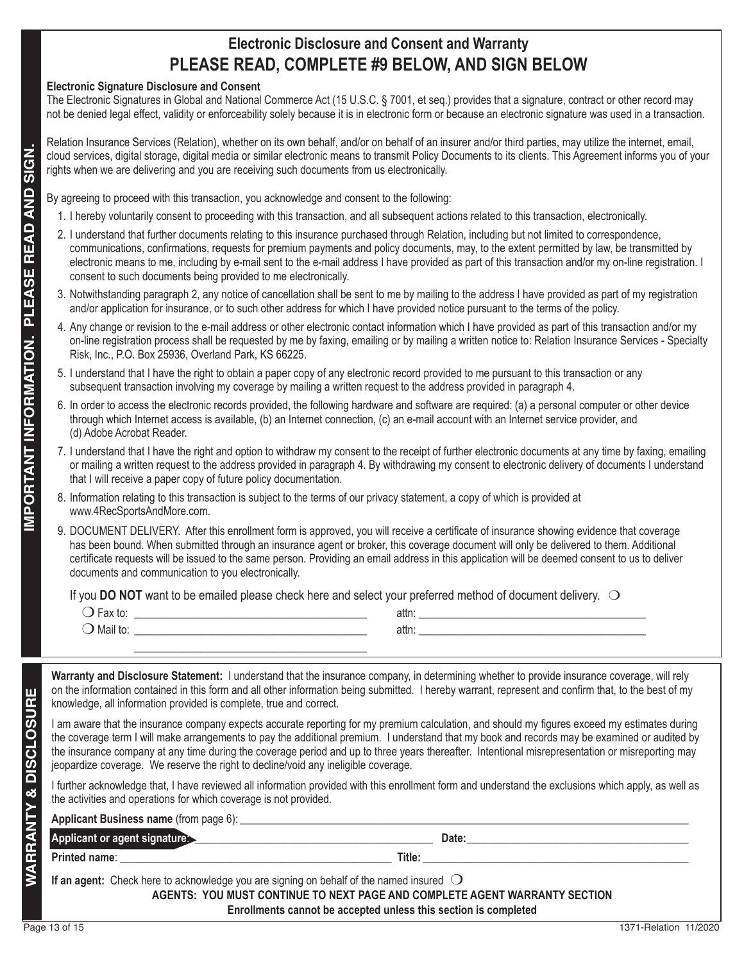## **Electronic Disclosure and Consent and Warranty PLEASE READ, COMPLETE #9 BELOW, AND SIGN BELOW**

## **Electronic Signature Disclosure and Consent**

The Electronic Signatures in Global and National Commerce Act (15 U.S.C. § 7001, et seq.) provides that a signature, contract or other record may not be denied legal effect, validity or enforceability solely because it is in electronic form or because an electronic signature was used in a transaction.

Relation Insurance Services (Relation), whether on its own behalf, and/or on behalf of an insurer and/or third parties, may utilize the internet, email, cloud services, digital storage, digital media or similar electronic means to transmit Policy Documents to its clients. This Agreement informs you of your rights when we are delivering and you are receiving such documents from us electronically.

- 1. I hereby voluntarily consent to proceeding with this transaction, and all subsequent actions related to this transaction, electronically.
- 2. I understand that further documents relating to this insurance purchased through Relation, including but not limited to correspondence, communications, confirmations, requests for premium payments and policy documents, may, to the extent permitted by law, be transmitted by electronic means to me, including by e-mail sent to the e-mail address I have provided as part of this transaction and/or my on-line registration. I consent to such documents being provided to me electronically.
- 3. Notwithstanding paragraph 2, any notice of cancellation shall be sent to me by mailing to the address I have provided as part of my registration and/or application for insurance, or to such other address for which I have provided notice pursuant to the terms of the policy.
- 4. Any change or revision to the e-mail address or other electronic contact information which I have provided as part of this transaction and/or my on-line registration process shall be requested by me by faxing, emailing or by mailing a written notice to: Relation Insurance Services - Specialty Risk, Inc., P.O. Box 25936, Overland Park, KS 66225.
- 5. I understand that I have the right to obtain a paper copy of any electronic record provided to me pursuant to this transaction or any subsequent transaction involving my coverage by mailing a written request to the address provided in paragraph 4.
- 6. In order to access the electronic records provided, the following hardware and software are required: (a) a personal computer or other device through which Internet access is available, (b) an Internet connection, (c) an e-mail account with an Internet service provider, and (d) Adobe Acrobat Reader.
- 7. I understand that I have the right and option to withdraw my consent to the receipt of further electronic documents at any time by faxing, emailing or mailing a written request to the address provided in paragraph 4. By withdrawing my consent to electronic delivery of documents I understand that I will receive a paper copy of future policy documentation.
- 8. Information relating to this transaction is subject to the terms of our privacy statement, a copy of which is provided at www.4RecSportsAndMore.com.
- 9. DOCUMENT DELIVERY. After this enrollment form is approved, you will receive a certificate of insurance showing evidence that coverage has been bound. When submitted through an insurance agent or broker, this coverage document will only be delivered to them. Additional certificate requests will be issued to the same person. Providing an email address in this application will be deemed consent to us to deliver documents and communication to you electronically.

| .<br>∝a∧<br>w<br>$\checkmark$ | attn: |  |
|-------------------------------|-------|--|
| $\cdot$<br>■ Mail tu.         | attn: |  |
|                               |       |  |

| <b>WARRANTY &amp;</b>  | If an agent: Check here to acknowledge you are signing on behalf of the named insured $\bigcirc$                                                                                                                                                                                                                                                                              | AGENTS: YOU MUST CONTINUE TO NEXT PAGE AND COMPLETE AGENT WARRANTY SECTION<br>Enrollments cannot be accepted unless this section is completed                                                                                                                                                                                                                                                                                                   |  |
|------------------------|-------------------------------------------------------------------------------------------------------------------------------------------------------------------------------------------------------------------------------------------------------------------------------------------------------------------------------------------------------------------------------|-------------------------------------------------------------------------------------------------------------------------------------------------------------------------------------------------------------------------------------------------------------------------------------------------------------------------------------------------------------------------------------------------------------------------------------------------|--|
|                        |                                                                                                                                                                                                                                                                                                                                                                               |                                                                                                                                                                                                                                                                                                                                                                                                                                                 |  |
|                        |                                                                                                                                                                                                                                                                                                                                                                               |                                                                                                                                                                                                                                                                                                                                                                                                                                                 |  |
|                        |                                                                                                                                                                                                                                                                                                                                                                               | Applicant or agent signature entertainment and a part of Date:                                                                                                                                                                                                                                                                                                                                                                                  |  |
|                        |                                                                                                                                                                                                                                                                                                                                                                               |                                                                                                                                                                                                                                                                                                                                                                                                                                                 |  |
|                        | the activities and operations for which coverage is not provided.                                                                                                                                                                                                                                                                                                             |                                                                                                                                                                                                                                                                                                                                                                                                                                                 |  |
|                        | jeopardize coverage. We reserve the right to decline/void any ineligible coverage.                                                                                                                                                                                                                                                                                            | I further acknowledge that, I have reviewed all information provided with this enrollment form and understand the exclusions which apply, as well as                                                                                                                                                                                                                                                                                            |  |
| <b>DISCLOSUR</b>       |                                                                                                                                                                                                                                                                                                                                                                               | the coverage term I will make arrangements to pay the additional premium. I understand that my book and records may be examined or audited by<br>the insurance company at any time during the coverage period and up to three years thereafter. Intentional misrepresentation or misreporting may                                                                                                                                               |  |
|                        | knowledge, all information provided is complete, true and correct.                                                                                                                                                                                                                                                                                                            | I am aware that the insurance company expects accurate reporting for my premium calculation, and should my figures exceed my estimates during                                                                                                                                                                                                                                                                                                   |  |
| п                      |                                                                                                                                                                                                                                                                                                                                                                               | Warranty and Disclosure Statement: I understand that the insurance company, in determining whether to provide insurance coverage, will rely<br>on the information contained in this form and all other information being submitted. I hereby warrant, represent and confirm that, to the best of my                                                                                                                                             |  |
|                        |                                                                                                                                                                                                                                                                                                                                                                               |                                                                                                                                                                                                                                                                                                                                                                                                                                                 |  |
|                        |                                                                                                                                                                                                                                                                                                                                                                               |                                                                                                                                                                                                                                                                                                                                                                                                                                                 |  |
|                        |                                                                                                                                                                                                                                                                                                                                                                               | If you DO NOT want to be emailed please check here and select your preferred method of document delivery. $\bigcirc$                                                                                                                                                                                                                                                                                                                            |  |
|                        | documents and communication to you electronically.                                                                                                                                                                                                                                                                                                                            | has been bound. When submitted through an insurance agent or broker, this coverage document will only be delivered to them. Additional<br>certificate requests will be issued to the same person. Providing an email address in this application will be deemed consent to us to deliver                                                                                                                                                        |  |
|                        |                                                                                                                                                                                                                                                                                                                                                                               | 9. DOCUMENT DELIVERY. After this enrollment form is approved, you will receive a certificate of insurance showing evidence that coverage                                                                                                                                                                                                                                                                                                        |  |
|                        | 8. Information relating to this transaction is subject to the terms of our privacy statement, a copy of which is provided at<br>www.4RecSportsAndMore.com.                                                                                                                                                                                                                    |                                                                                                                                                                                                                                                                                                                                                                                                                                                 |  |
|                        | 7. I understand that I have the right and option to withdraw my consent to the receipt of further electronic documents at any time by faxing, emailing<br>or mailing a written request to the address provided in paragraph 4. By withdrawing my consent to electronic delivery of documents I understand<br>that I will receive a paper copy of future policy documentation. |                                                                                                                                                                                                                                                                                                                                                                                                                                                 |  |
| IMPORTANT INFORMATION. | 6. In order to access the electronic records provided, the following hardware and software are required: (a) a personal computer or other device<br>through which Internet access is available, (b) an Internet connection, (c) an e-mail account with an Internet service provider, and<br>(d) Adobe Acrobat Reader.                                                         |                                                                                                                                                                                                                                                                                                                                                                                                                                                 |  |
|                        | subsequent transaction involving my coverage by mailing a written request to the address provided in paragraph 4.                                                                                                                                                                                                                                                             | 5. I understand that I have the right to obtain a paper copy of any electronic record provided to me pursuant to this transaction or any                                                                                                                                                                                                                                                                                                        |  |
|                        | Risk, Inc., P.O. Box 25936, Overland Park, KS 66225.                                                                                                                                                                                                                                                                                                                          | on-line registration process shall be requested by me by faxing, emailing or by mailing a written notice to: Relation Insurance Services - Specialty                                                                                                                                                                                                                                                                                            |  |
|                        |                                                                                                                                                                                                                                                                                                                                                                               | 4. Any change or revision to the e-mail address or other electronic contact information which I have provided as part of this transaction and/or my                                                                                                                                                                                                                                                                                             |  |
| PLEASE                 |                                                                                                                                                                                                                                                                                                                                                                               | 3. Notwithstanding paragraph 2, any notice of cancellation shall be sent to me by mailing to the address I have provided as part of my registration<br>and/or application for insurance, or to such other address for which I have provided notice pursuant to the terms of the policy.                                                                                                                                                         |  |
| READ                   | consent to such documents being provided to me electronically.                                                                                                                                                                                                                                                                                                                | 2. I understand that further documents relating to this insurance purchased through Relation, including but not limited to correspondence,<br>communications, confirmations, requests for premium payments and policy documents, may, to the extent permitted by law, be transmitted by<br>electronic means to me, including by e-mail sent to the e-mail address I have provided as part of this transaction and/or my on-line registration. I |  |
|                        |                                                                                                                                                                                                                                                                                                                                                                               | 1. I hereby voluntarily consent to proceeding with this transaction, and all subsequent actions related to this transaction, electronically.                                                                                                                                                                                                                                                                                                    |  |
| $\frac{D}{4}$          | By agreeing to proceed with this transaction, you acknowledge and consent to the following:                                                                                                                                                                                                                                                                                   |                                                                                                                                                                                                                                                                                                                                                                                                                                                 |  |
| NSIS                   | rights when we are delivering and you are receiving such documents from us electronically.                                                                                                                                                                                                                                                                                    |                                                                                                                                                                                                                                                                                                                                                                                                                                                 |  |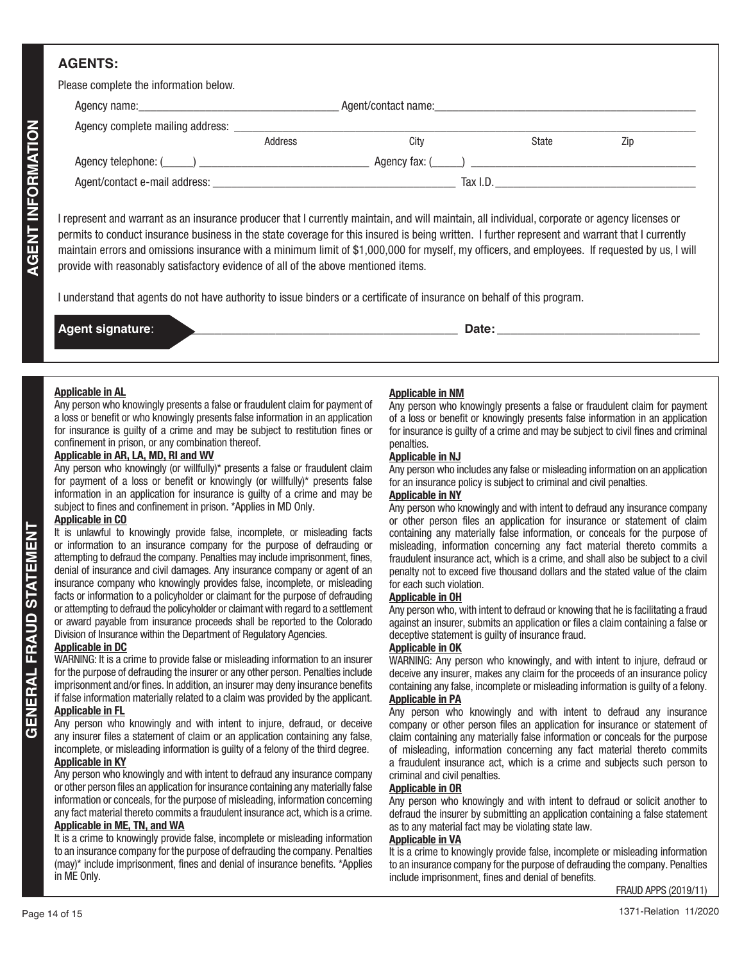## **AGENTS:**

Please complete the information below.

| Address                                                                                                                                                                                                                                                                                                                                                                                                                                                                                                                                                                                                                                                                                                                                                                                                                                                                                                                                                                                                                                                                                                                                                                                                                                                                                                                                                                                                                                                                                                                                                                                                                                                                                                                                                                                                                                                                                                                                                                                                                                                                                                                                                                                                                                                                                                                                                                                          | City<br>State<br>Zip                                                                                                                                                                                                                                                                                                                                                                                                                                                                                                                                                                                                                                                                                                                                                                                                                                                                                                                                                                                                                                                                                                                                                                                                                                                                                                                                                                                                                                                                                                                                                                                                                                                                                                                                                                                                                                                                                                                                                                                                                                                                                                                                                                                                                                                                                |
|--------------------------------------------------------------------------------------------------------------------------------------------------------------------------------------------------------------------------------------------------------------------------------------------------------------------------------------------------------------------------------------------------------------------------------------------------------------------------------------------------------------------------------------------------------------------------------------------------------------------------------------------------------------------------------------------------------------------------------------------------------------------------------------------------------------------------------------------------------------------------------------------------------------------------------------------------------------------------------------------------------------------------------------------------------------------------------------------------------------------------------------------------------------------------------------------------------------------------------------------------------------------------------------------------------------------------------------------------------------------------------------------------------------------------------------------------------------------------------------------------------------------------------------------------------------------------------------------------------------------------------------------------------------------------------------------------------------------------------------------------------------------------------------------------------------------------------------------------------------------------------------------------------------------------------------------------------------------------------------------------------------------------------------------------------------------------------------------------------------------------------------------------------------------------------------------------------------------------------------------------------------------------------------------------------------------------------------------------------------------------------------------------|-----------------------------------------------------------------------------------------------------------------------------------------------------------------------------------------------------------------------------------------------------------------------------------------------------------------------------------------------------------------------------------------------------------------------------------------------------------------------------------------------------------------------------------------------------------------------------------------------------------------------------------------------------------------------------------------------------------------------------------------------------------------------------------------------------------------------------------------------------------------------------------------------------------------------------------------------------------------------------------------------------------------------------------------------------------------------------------------------------------------------------------------------------------------------------------------------------------------------------------------------------------------------------------------------------------------------------------------------------------------------------------------------------------------------------------------------------------------------------------------------------------------------------------------------------------------------------------------------------------------------------------------------------------------------------------------------------------------------------------------------------------------------------------------------------------------------------------------------------------------------------------------------------------------------------------------------------------------------------------------------------------------------------------------------------------------------------------------------------------------------------------------------------------------------------------------------------------------------------------------------------------------------------------------------------|
|                                                                                                                                                                                                                                                                                                                                                                                                                                                                                                                                                                                                                                                                                                                                                                                                                                                                                                                                                                                                                                                                                                                                                                                                                                                                                                                                                                                                                                                                                                                                                                                                                                                                                                                                                                                                                                                                                                                                                                                                                                                                                                                                                                                                                                                                                                                                                                                                  |                                                                                                                                                                                                                                                                                                                                                                                                                                                                                                                                                                                                                                                                                                                                                                                                                                                                                                                                                                                                                                                                                                                                                                                                                                                                                                                                                                                                                                                                                                                                                                                                                                                                                                                                                                                                                                                                                                                                                                                                                                                                                                                                                                                                                                                                                                     |
|                                                                                                                                                                                                                                                                                                                                                                                                                                                                                                                                                                                                                                                                                                                                                                                                                                                                                                                                                                                                                                                                                                                                                                                                                                                                                                                                                                                                                                                                                                                                                                                                                                                                                                                                                                                                                                                                                                                                                                                                                                                                                                                                                                                                                                                                                                                                                                                                  |                                                                                                                                                                                                                                                                                                                                                                                                                                                                                                                                                                                                                                                                                                                                                                                                                                                                                                                                                                                                                                                                                                                                                                                                                                                                                                                                                                                                                                                                                                                                                                                                                                                                                                                                                                                                                                                                                                                                                                                                                                                                                                                                                                                                                                                                                                     |
|                                                                                                                                                                                                                                                                                                                                                                                                                                                                                                                                                                                                                                                                                                                                                                                                                                                                                                                                                                                                                                                                                                                                                                                                                                                                                                                                                                                                                                                                                                                                                                                                                                                                                                                                                                                                                                                                                                                                                                                                                                                                                                                                                                                                                                                                                                                                                                                                  |                                                                                                                                                                                                                                                                                                                                                                                                                                                                                                                                                                                                                                                                                                                                                                                                                                                                                                                                                                                                                                                                                                                                                                                                                                                                                                                                                                                                                                                                                                                                                                                                                                                                                                                                                                                                                                                                                                                                                                                                                                                                                                                                                                                                                                                                                                     |
| I represent and warrant as an insurance producer that I currently maintain, and will maintain, all individual, corporate or agency licenses or<br>permits to conduct insurance business in the state coverage for this insured is being written. I further represent and warrant that I currently<br>maintain errors and omissions insurance with a minimum limit of \$1,000,000 for myself, my officers, and employees. If requested by us, I will<br>provide with reasonably satisfactory evidence of all of the above mentioned items.<br>I understand that agents do not have authority to issue binders or a certificate of insurance on behalf of this program.                                                                                                                                                                                                                                                                                                                                                                                                                                                                                                                                                                                                                                                                                                                                                                                                                                                                                                                                                                                                                                                                                                                                                                                                                                                                                                                                                                                                                                                                                                                                                                                                                                                                                                                            |                                                                                                                                                                                                                                                                                                                                                                                                                                                                                                                                                                                                                                                                                                                                                                                                                                                                                                                                                                                                                                                                                                                                                                                                                                                                                                                                                                                                                                                                                                                                                                                                                                                                                                                                                                                                                                                                                                                                                                                                                                                                                                                                                                                                                                                                                                     |
| <b>Agent signature:</b><br><u> 1989 - Johann John Stone, mars eta biztanleria (h. 1982).</u>                                                                                                                                                                                                                                                                                                                                                                                                                                                                                                                                                                                                                                                                                                                                                                                                                                                                                                                                                                                                                                                                                                                                                                                                                                                                                                                                                                                                                                                                                                                                                                                                                                                                                                                                                                                                                                                                                                                                                                                                                                                                                                                                                                                                                                                                                                     | Date: the contract of the contract of the contract of the contract of the contract of the contract of the contract of the contract of the contract of the contract of the contract of the contract of the contract of the cont                                                                                                                                                                                                                                                                                                                                                                                                                                                                                                                                                                                                                                                                                                                                                                                                                                                                                                                                                                                                                                                                                                                                                                                                                                                                                                                                                                                                                                                                                                                                                                                                                                                                                                                                                                                                                                                                                                                                                                                                                                                                      |
|                                                                                                                                                                                                                                                                                                                                                                                                                                                                                                                                                                                                                                                                                                                                                                                                                                                                                                                                                                                                                                                                                                                                                                                                                                                                                                                                                                                                                                                                                                                                                                                                                                                                                                                                                                                                                                                                                                                                                                                                                                                                                                                                                                                                                                                                                                                                                                                                  |                                                                                                                                                                                                                                                                                                                                                                                                                                                                                                                                                                                                                                                                                                                                                                                                                                                                                                                                                                                                                                                                                                                                                                                                                                                                                                                                                                                                                                                                                                                                                                                                                                                                                                                                                                                                                                                                                                                                                                                                                                                                                                                                                                                                                                                                                                     |
| <b>Applicable in AL</b><br>Any person who knowingly presents a false or fraudulent claim for payment of<br>a loss or benefit or who knowingly presents false information in an application<br>for insurance is guilty of a crime and may be subject to restitution fines or<br>confinement in prison, or any combination thereof.<br>Applicable in AR, LA, MD, RI and WV<br>Any person who knowingly (or willfully)* presents a false or fraudulent claim<br>for payment of a loss or benefit or knowingly (or willfully)* presents false<br>information in an application for insurance is guilty of a crime and may be<br>subject to fines and confinement in prison. *Applies in MD Only.<br><b>Applicable in CO</b><br>It is unlawful to knowingly provide false, incomplete, or misleading facts<br>or information to an insurance company for the purpose of defrauding or<br>attempting to defraud the company. Penalties may include imprisonment, fines,<br>denial of insurance and civil damages. Any insurance company or agent of an<br>insurance company who knowingly provides false, incomplete, or misleading<br>facts or information to a policyholder or claimant for the purpose of defrauding<br>or attempting to defraud the policyholder or claimant with regard to a settlement<br>or award payable from insurance proceeds shall be reported to the Colorado<br>Division of Insurance within the Department of Regulatory Agencies.<br><b>Applicable in DC</b><br>WARNING: It is a crime to provide false or misleading information to an insurer<br>for the purpose of defrauding the insurer or any other person. Penalties include<br>imprisonment and/or fines. In addition, an insurer may deny insurance benefits<br>if false information materially related to a claim was provided by the applicant.<br><b>Applicable in FL</b><br>Any person who knowingly and with intent to injure, defraud, or deceive<br>any insurer files a statement of claim or an application containing any false,<br>incomplete, or misleading information is guilty of a felony of the third degree.<br><b>Applicable in KY</b><br>Any person who knowingly and with intent to defraud any insurance company<br>or other person files an application for insurance containing any materially false<br>information or conceals, for the purpose of misleading, information concerning | <b>Applicable in NM</b><br>Any person who knowingly presents a false or fraudulent claim for payment<br>of a loss or benefit or knowingly presents false information in an application<br>for insurance is guilty of a crime and may be subject to civil fines and criminal<br>penalties.<br><b>Applicable in NJ</b><br>Any person who includes any false or misleading information on an application<br>for an insurance policy is subject to criminal and civil penalties.<br><b>Applicable in NY</b><br>Any person who knowingly and with intent to defraud any insurance company<br>or other person files an application for insurance or statement of claim<br>containing any materially false information, or conceals for the purpose of<br>misleading, information concerning any fact material thereto commits a<br>fraudulent insurance act, which is a crime, and shall also be subject to a civil<br>penalty not to exceed five thousand dollars and the stated value of the claim<br>for each such violation.<br><b>Applicable in OH</b><br>Any person who, with intent to defraud or knowing that he is facilitating a fraud<br>against an insurer, submits an application or files a claim containing a false or<br>deceptive statement is guilty of insurance fraud.<br><b>Applicable in OK</b><br>WARNING: Any person who knowingly, and with intent to injure, defraud or<br>deceive any insurer, makes any claim for the proceeds of an insurance policy<br>containing any false, incomplete or misleading information is guilty of a felony.<br><b>Applicable in PA</b><br>Any person who knowingly and with intent to defraud any insurance<br>company or other person files an application for insurance or statement of<br>claim containing any materially false information or conceals for the purpose<br>of misleading, information concerning any fact material thereto commits<br>a fraudulent insurance act, which is a crime and subjects such person to<br>criminal and civil penalties.<br><b>Applicable in OR</b><br>Any person who knowingly and with intent to defraud or solicit another to<br>any fact material thereto commits a fraudulent insurance act, which is a crime.<br>defraud the insurer by submitting an application containing a false statement |

| <b>Agent signature:</b> | Date |
|-------------------------|------|
|                         |      |

## **Applicable in AL**

#### **Applicable in AR, LA, MD, RI and WV**

#### **Applicable in CO**

#### **Applicable in DC**

#### It is a crime to knowingly provide false, incomplete or misleading information to an insurance company for the purpose of defrauding the company. Penalties (may)\* include imprisonment, fines and denial of insurance benefits. \*Applies in ME Only.

## **Applicable in NM**

#### **Applicable in NJ**

## **Applicable in NY**

#### **Applicable in OH**

#### **Applicable in OK**

#### **Applicable in OR**

## **Applicable in VA**